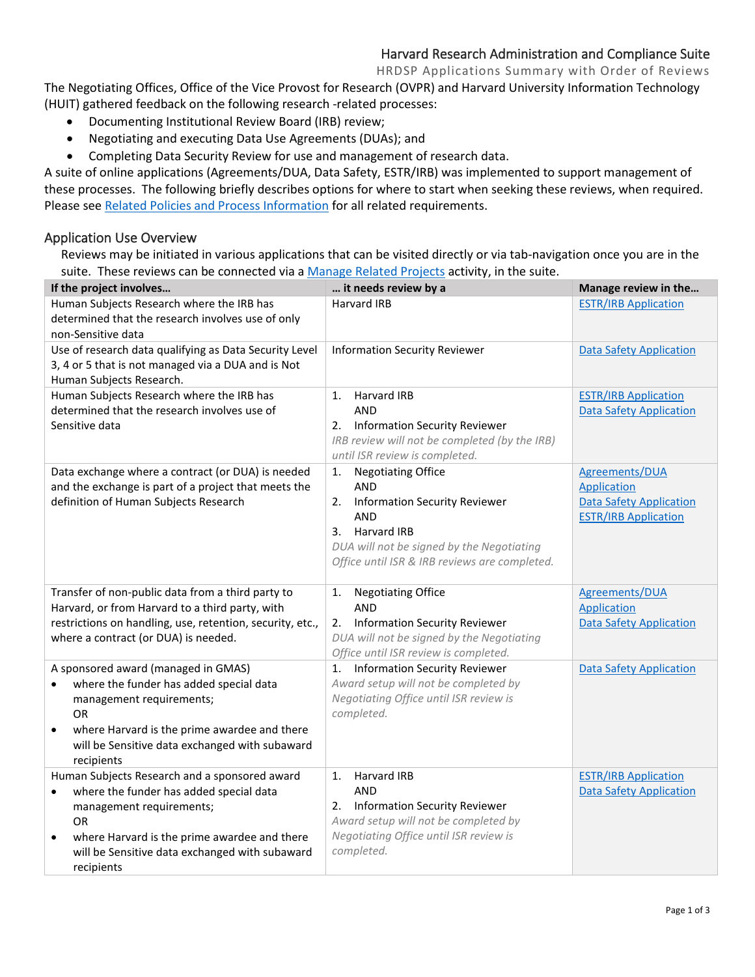# Harvard Research Administration and Compliance Suite

HRDSP Applications Summary with Order of Reviews

The Negotiating Offices, Office of the Vice Provost for Research (OVPR) and Harvard University Information Technology (HUIT) gathered feedback on the following research -related processes:

- Documenting Institutional Review Board (IRB) review;
- Negotiating and executing Data Use Agreements (DUAs); and
- Completing Data Security Review for use and management of research data.

A suite of online applications (Agreements/DUA, Data Safety, ESTR/IRB) was implemented to support management of these processes. The following briefly describes options for where to start when seeking these reviews, when required. Please see [Related Policies and Process Information](https://vpr.harvard.edu/pages/harvard-research-data-security-policy) for all related requirements.

#### <span id="page-0-0"></span>Application Use Overview

Reviews may be initiated in various applications that can be visited directly or via tab-navigation once you are in the suite. These reviews can be connected via a [Manage Related Projects](https://estrsupport.fss.harvard.edu/managing-related-projects) activity, in the suite.

| If the project involves                                                                                                                                                                                                                                                     | it needs review by a                                                                                                                                                                                                      | Manage review in the                                                                                  |
|-----------------------------------------------------------------------------------------------------------------------------------------------------------------------------------------------------------------------------------------------------------------------------|---------------------------------------------------------------------------------------------------------------------------------------------------------------------------------------------------------------------------|-------------------------------------------------------------------------------------------------------|
| Human Subjects Research where the IRB has<br>determined that the research involves use of only<br>non-Sensitive data                                                                                                                                                        | Harvard IRB                                                                                                                                                                                                               | <b>ESTR/IRB Application</b>                                                                           |
| Use of research data qualifying as Data Security Level<br>3, 4 or 5 that is not managed via a DUA and is Not<br>Human Subjects Research.                                                                                                                                    | <b>Information Security Reviewer</b>                                                                                                                                                                                      | <b>Data Safety Application</b>                                                                        |
| Human Subjects Research where the IRB has<br>determined that the research involves use of<br>Sensitive data                                                                                                                                                                 | Harvard IRB<br>1.<br><b>AND</b><br>2. Information Security Reviewer<br>IRB review will not be completed (by the IRB)<br>until ISR review is completed.                                                                    | <b>ESTR/IRB Application</b><br><b>Data Safety Application</b>                                         |
| Data exchange where a contract (or DUA) is needed<br>and the exchange is part of a project that meets the<br>definition of Human Subjects Research                                                                                                                          | <b>Negotiating Office</b><br>1.<br><b>AND</b><br><b>Information Security Reviewer</b><br>2.<br><b>AND</b><br>3. Harvard IRB<br>DUA will not be signed by the Negotiating<br>Office until ISR & IRB reviews are completed. | Agreements/DUA<br><b>Application</b><br><b>Data Safety Application</b><br><b>ESTR/IRB Application</b> |
| Transfer of non-public data from a third party to<br>Harvard, or from Harvard to a third party, with<br>restrictions on handling, use, retention, security, etc.,<br>where a contract (or DUA) is needed.                                                                   | <b>Negotiating Office</b><br>1.<br><b>AND</b><br><b>Information Security Reviewer</b><br>2.<br>DUA will not be signed by the Negotiating<br>Office until ISR review is completed.                                         | <b>Agreements/DUA</b><br>Application<br><b>Data Safety Application</b>                                |
| A sponsored award (managed in GMAS)<br>where the funder has added special data<br>management requirements;<br>0R<br>where Harvard is the prime awardee and there<br>$\bullet$<br>will be Sensitive data exchanged with subaward<br>recipients                               | 1. Information Security Reviewer<br>Award setup will not be completed by<br>Negotiating Office until ISR review is<br>completed.                                                                                          | <b>Data Safety Application</b>                                                                        |
| Human Subjects Research and a sponsored award<br>where the funder has added special data<br>$\bullet$<br>management requirements;<br><b>OR</b><br>where Harvard is the prime awardee and there<br>$\bullet$<br>will be Sensitive data exchanged with subaward<br>recipients | <b>Harvard IRB</b><br>1.<br><b>AND</b><br>2. Information Security Reviewer<br>Award setup will not be completed by<br>Negotiating Office until ISR review is<br>completed.                                                | <b>ESTR/IRB Application</b><br><b>Data Safety Application</b>                                         |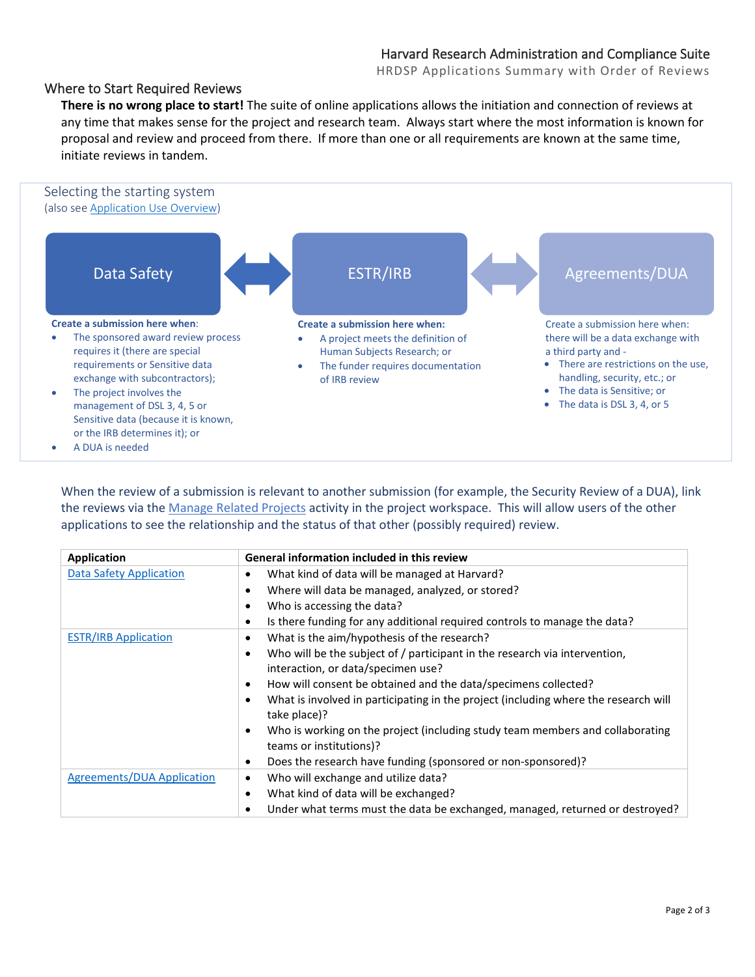HRDSP Applications Summary with Order of Reviews

### Where to Start Required Reviews

**There is no wrong place to start!** The suite of online applications allows the initiation and connection of reviews at any time that makes sense for the project and research team. Always start where the most information is known for proposal and review and proceed from there. If more than one or all requirements are known at the same time, initiate reviews in tandem.



When the review of a submission is relevant to another submission (for example, the Security Review of a DUA), link the reviews via th[e Manage Related Projects](https://estrsupport.fss.harvard.edu/managing-related-projects) activity in the project workspace. This will allow users of the other applications to see the relationship and the status of that other (possibly required) review.

| <b>Application</b>                | <b>General information included in this review</b>                                                                                                                                                                                                                                                                                                                                                                                                                                                                                                                 |
|-----------------------------------|--------------------------------------------------------------------------------------------------------------------------------------------------------------------------------------------------------------------------------------------------------------------------------------------------------------------------------------------------------------------------------------------------------------------------------------------------------------------------------------------------------------------------------------------------------------------|
| <b>Data Safety Application</b>    | What kind of data will be managed at Harvard?<br>٠<br>Where will data be managed, analyzed, or stored?<br>٠<br>Who is accessing the data?<br>$\bullet$<br>Is there funding for any additional required controls to manage the data?<br>$\bullet$                                                                                                                                                                                                                                                                                                                   |
| <b>ESTR/IRB Application</b>       | What is the aim/hypothesis of the research?<br>$\bullet$<br>Who will be the subject of / participant in the research via intervention,<br>$\bullet$<br>interaction, or data/specimen use?<br>How will consent be obtained and the data/specimens collected?<br>٠<br>What is involved in participating in the project (including where the research will<br>٠<br>take place)?<br>Who is working on the project (including study team members and collaborating<br>٠<br>teams or institutions)?<br>Does the research have funding (sponsored or non-sponsored)?<br>٠ |
| <b>Agreements/DUA Application</b> | Who will exchange and utilize data?<br>٠<br>What kind of data will be exchanged?<br>$\bullet$<br>Under what terms must the data be exchanged, managed, returned or destroyed?<br>٠                                                                                                                                                                                                                                                                                                                                                                                 |